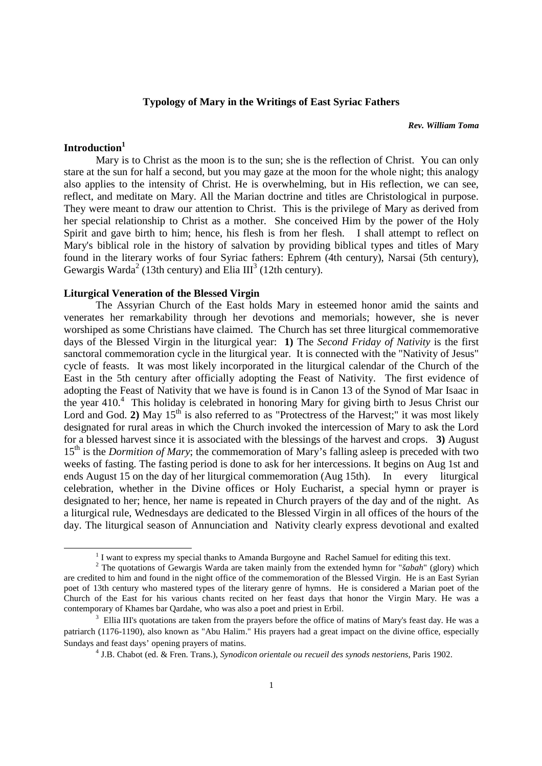#### **Typology of Mary in the Writings of East Syriac Fathers**

#### *Rev. William Toma*

# **Introduction<sup>1</sup>**

1

 Mary is to Christ as the moon is to the sun; she is the reflection of Christ. You can only stare at the sun for half a second, but you may gaze at the moon for the whole night; this analogy also applies to the intensity of Christ. He is overwhelming, but in His reflection, we can see, reflect, and meditate on Mary. All the Marian doctrine and titles are Christological in purpose. They were meant to draw our attention to Christ. This is the privilege of Mary as derived from her special relationship to Christ as a mother. She conceived Him by the power of the Holy Spirit and gave birth to him; hence, his flesh is from her flesh. I shall attempt to reflect on Mary's biblical role in the history of salvation by providing biblical types and titles of Mary found in the literary works of four Syriac fathers: Ephrem (4th century), Narsai (5th century), Gewargis Warda<sup>2</sup> (13th century) and Elia III<sup>3</sup> (12th century).

## **Liturgical Veneration of the Blessed Virgin**

 The Assyrian Church of the East holds Mary in esteemed honor amid the saints and venerates her remarkability through her devotions and memorials; however, she is never worshiped as some Christians have claimed. The Church has set three liturgical commemorative days of the Blessed Virgin in the liturgical year: **1)** The *Second Friday of Nativity* is the first sanctoral commemoration cycle in the liturgical year. It is connected with the "Nativity of Jesus" cycle of feasts. It was most likely incorporated in the liturgical calendar of the Church of the East in the 5th century after officially adopting the Feast of Nativity. The first evidence of adopting the Feast of Nativity that we have is found is in Canon 13 of the Synod of Mar Isaac in the year 410.<sup>4</sup> This holiday is celebrated in honoring Mary for giving birth to Jesus Christ our Lord and God. 2) May 15<sup>th</sup> is also referred to as "Protectress of the Harvest;" it was most likely designated for rural areas in which the Church invoked the intercession of Mary to ask the Lord for a blessed harvest since it is associated with the blessings of the harvest and crops. **3)** August 15<sup>th</sup> is the *Dormition of Mary*; the commemoration of Mary's falling asleep is preceded with two weeks of fasting. The fasting period is done to ask for her intercessions. It begins on Aug 1st and ends August 15 on the day of her liturgical commemoration (Aug 15th). In every liturgical celebration, whether in the Divine offices or Holy Eucharist, a special hymn or prayer is designated to her; hence, her name is repeated in Church prayers of the day and of the night. As a liturgical rule, Wednesdays are dedicated to the Blessed Virgin in all offices of the hours of the day. The liturgical season of Annunciation and Nativity clearly express devotional and exalted

<sup>&</sup>lt;sup>1</sup> I want to express my special thanks to Amanda Burgoyne and Rachel Samuel for editing this text.

<sup>2</sup> The quotations of Gewargis Warda are taken mainly from the extended hymn for "*šabah*" (glory) which are credited to him and found in the night office of the commemoration of the Blessed Virgin. He is an East Syrian poet of 13th century who mastered types of the literary genre of hymns. He is considered a Marian poet of the Church of the East for his various chants recited on her feast days that honor the Virgin Mary. He was a contemporary of Khames bar Qardahe, who was also a poet and priest in Erbil.

<sup>&</sup>lt;sup>3</sup> Ellia III's quotations are taken from the prayers before the office of matins of Mary's feast day. He was a patriarch (1176-1190), also known as "Abu Halim." His prayers had a great impact on the divine office, especially Sundays and feast days' opening prayers of matins.

<sup>4</sup> J.B. Chabot (ed. & Fren. Trans.), *Synodicon orientale ou recueil des synods nestoriens*, Paris 1902.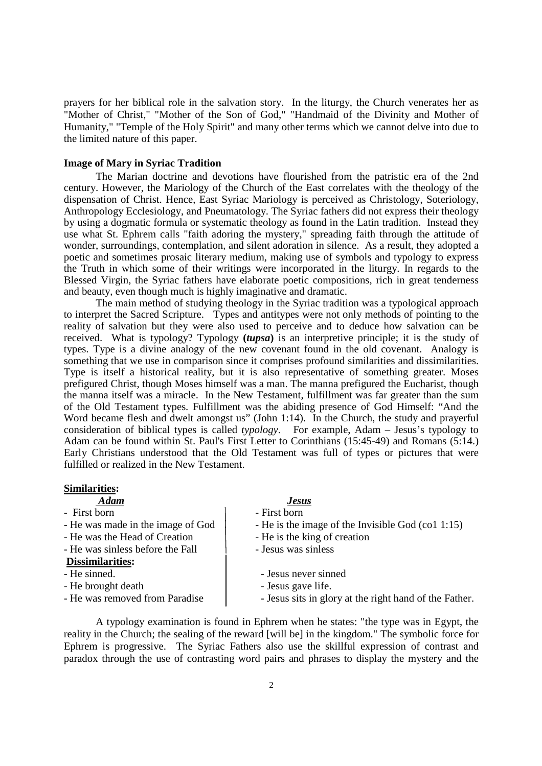prayers for her biblical role in the salvation story. In the liturgy, the Church venerates her as "Mother of Christ," "Mother of the Son of God," "Handmaid of the Divinity and Mother of Humanity," "Temple of the Holy Spirit" and many other terms which we cannot delve into due to the limited nature of this paper.

#### **Image of Mary in Syriac Tradition**

 The Marian doctrine and devotions have flourished from the patristic era of the 2nd century. However, the Mariology of the Church of the East correlates with the theology of the dispensation of Christ. Hence, East Syriac Mariology is perceived as Christology, Soteriology, Anthropology Ecclesiology, and Pneumatology. The Syriac fathers did not express their theology by using a dogmatic formula or systematic theology as found in the Latin tradition. Instead they use what St. Ephrem calls "faith adoring the mystery," spreading faith through the attitude of wonder, surroundings, contemplation, and silent adoration in silence. As a result, they adopted a poetic and sometimes prosaic literary medium, making use of symbols and typology to express the Truth in which some of their writings were incorporated in the liturgy. In regards to the Blessed Virgin, the Syriac fathers have elaborate poetic compositions, rich in great tenderness and beauty, even though much is highly imaginative and dramatic.

 The main method of studying theology in the Syriac tradition was a typological approach to interpret the Sacred Scripture. Types and antitypes were not only methods of pointing to the reality of salvation but they were also used to perceive and to deduce how salvation can be received. What is typology? Typology **(***tupsa***)** is an interpretive principle; it is the study of types. Type is a divine analogy of the new covenant found in the old covenant. Analogy is something that we use in comparison since it comprises profound similarities and dissimilarities. Type is itself a historical reality, but it is also representative of something greater. Moses prefigured Christ, though Moses himself was a man. The manna prefigured the Eucharist, though the manna itself was a miracle. In the New Testament, fulfillment was far greater than the sum of the Old Testament types. Fulfillment was the abiding presence of God Himself: "And the Word became flesh and dwelt amongst us" (John 1:14). In the Church, the study and prayerful consideration of biblical types is called *typology*. For example, Adam – Jesus's typology to Adam can be found within St. Paul's First Letter to Corinthians (15:45-49) and Romans (5:14.) Early Christians understood that the Old Testament was full of types or pictures that were fulfilled or realized in the New Testament.

## **Similarities:**

## *Adam**Jesus*

- First born **First** born **First** born
- 
- He was the Head of Creation He is the king of creation
- $-$  He was sinless before the Fall  $-$  Jesus was sinless

# **Dissimilarities:**

- 
- 
- 

- 
- He was made in the image of God  $\parallel$  He is the image of the Invisible God (co1 1:15)
	-
	-
	- Jesus never sinned.
- He brought death  $\vert$  Jesus gave life.
- He was removed from Paradise  $\vert$  Jesus sits in glory at the right hand of the Father.

 A typology examination is found in Ephrem when he states: "the type was in Egypt, the reality in the Church; the sealing of the reward [will be] in the kingdom." The symbolic force for Ephrem is progressive. The Syriac Fathers also use the skillful expression of contrast and paradox through the use of contrasting word pairs and phrases to display the mystery and the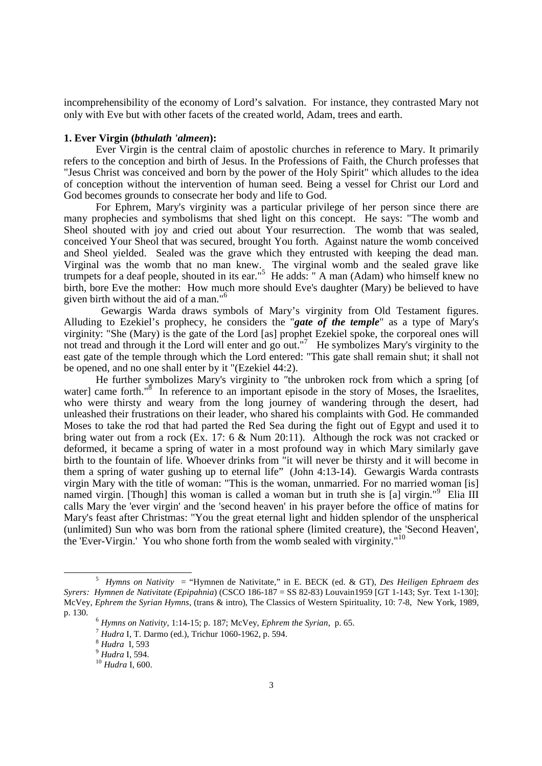incomprehensibility of the economy of Lord's salvation. For instance, they contrasted Mary not only with Eve but with other facets of the created world, Adam, trees and earth.

#### **1. Ever Virgin (***bthulath 'almeen***):**

 Ever Virgin is the central claim of apostolic churches in reference to Mary. It primarily refers to the conception and birth of Jesus. In the Professions of Faith, the Church professes that "Jesus Christ was conceived and born by the power of the Holy Spirit" which alludes to the idea of conception without the intervention of human seed. Being a vessel for Christ our Lord and God becomes grounds to consecrate her body and life to God.

 For Ephrem, Mary's virginity was a particular privilege of her person since there are many prophecies and symbolisms that shed light on this concept. He says: "The womb and Sheol shouted with joy and cried out about Your resurrection. The womb that was sealed, conceived Your Sheol that was secured, brought You forth. Against nature the womb conceived and Sheol yielded. Sealed was the grave which they entrusted with keeping the dead man. Virginal was the womb that no man knew. The virginal womb and the sealed grave like trumpets for a deaf people, shouted in its ear."<sup>5</sup> He adds: " A man (Adam) who himself knew no birth, bore Eve the mother: How much more should Eve's daughter (Mary) be believed to have given birth without the aid of a man."<sup>6</sup>

 Gewargis Warda draws symbols of Mary's virginity from Old Testament figures. Alluding to Ezekiel's prophecy, he considers the "*gate of the temple*" as a type of Mary's virginity: "She (Mary) is the gate of the Lord [as] prophet Ezekiel spoke, the corporeal ones will not tread and through it the Lord will enter and go out."<sup>7</sup> He symbolizes Mary's virginity to the east gate of the temple through which the Lord entered: "This gate shall remain shut; it shall not be opened, and no one shall enter by it "(Ezekiel 44:2).

 He further symbolizes Mary's virginity to *"*the unbroken rock from which a spring [of water] came forth."<sup>8</sup> In reference to an important episode in the story of Moses, the Israelites, who were thirsty and weary from the long journey of wandering through the desert, had unleashed their frustrations on their leader, who shared his complaints with God. He commanded Moses to take the rod that had parted the Red Sea during the fight out of Egypt and used it to bring water out from a rock (Ex. 17: 6 & Num 20:11). Although the rock was not cracked or deformed, it became a spring of water in a most profound way in which Mary similarly gave birth to the fountain of life. Whoever drinks from "it will never be thirsty and it will become in them a spring of water gushing up to eternal life" (John 4:13-14). Gewargis Warda contrasts virgin Mary with the title of woman: "This is the woman, unmarried. For no married woman [is] named virgin. [Though] this woman is called a woman but in truth she is [a] virgin."<sup>9</sup> Elia III calls Mary the 'ever virgin' and the 'second heaven' in his prayer before the office of matins for Mary's feast after Christmas: "You the great eternal light and hidden splendor of the unspherical (unlimited) Sun who was born from the rational sphere (limited creature), the 'Second Heaven', the 'Ever-Virgin.' You who shone forth from the womb sealed with virginity."<sup>10</sup>

 $\overline{a}$ 

<sup>5</sup> *Hymns on Nativity* = "Hymnen de Nativitate," in E. BECK (ed. & GT), *Des Heiligen Ephraem des Syrers: Hymnen de Nativitate (Epipahnia*) (CSCO 186-187 = SS 82-83) Louvain1959 [GT 1-143; Syr. Text 1-130]; McVey, *Ephrem the Syrian Hymns*, (trans & intro), The Classics of Western Spirituality, 10: 7-8, New York, 1989, p. 130.

<sup>6</sup> *Hymns on Nativity*, 1:14-15; p. 187; McVey, *Ephrem the Syrian*, p. 65.

<sup>7</sup> *Hudra* I, T. Darmo (ed.), Trichur 1060-1962, p. 594.

<sup>8</sup> *Hudra* I, 593

<sup>9</sup> *Hudra* I, 594.

<sup>10</sup> *Hudra* I, 600.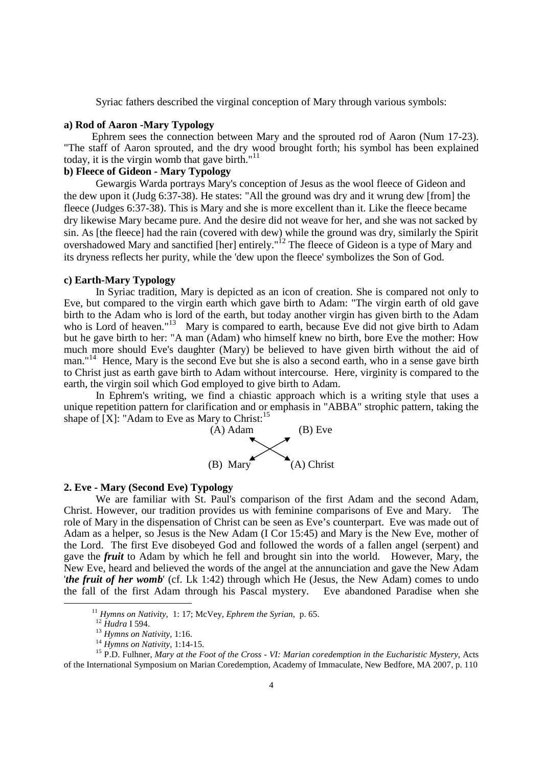Syriac fathers described the virginal conception of Mary through various symbols:

## **a) Rod of Aaron -Mary Typology**

Ephrem sees the connection between Mary and the sprouted rod of Aaron (Num 17-23). "The staff of Aaron sprouted, and the dry wood brought forth; his symbol has been explained today, it is the virgin womb that gave birth." $11$ 

# **b) Fleece of Gideon - Mary Typology**

Gewargis Warda portrays Mary's conception of Jesus as the wool fleece of Gideon and the dew upon it (Judg 6:37-38). He states: "All the ground was dry and it wrung dew [from] the fleece (Judges 6:37-38). This is Mary and she is more excellent than it. Like the fleece became dry likewise Mary became pure. And the desire did not weave for her, and she was not sacked by sin. As [the fleece] had the rain (covered with dew) while the ground was dry, similarly the Spirit overshadowed Mary and sanctified [her] entirely."<sup>12</sup> The fleece of Gideon is a type of Mary and its dryness reflects her purity, while the 'dew upon the fleece' symbolizes the Son of God.

#### **c) Earth-Mary Typology**

In Syriac tradition, Mary is depicted as an icon of creation. She is compared not only to Eve, but compared to the virgin earth which gave birth to Adam: "The virgin earth of old gave birth to the Adam who is lord of the earth, but today another virgin has given birth to the Adam who is Lord of heaven."<sup>13</sup> Mary is compared to earth, because Eve did not give birth to Adam but he gave birth to her: "A man (Adam) who himself knew no birth, bore Eve the mother: How much more should Eve's daughter (Mary) be believed to have given birth without the aid of man."<sup>14</sup> Hence, Mary is the second Eve but she is also a second earth, who in a sense gave birth to Christ just as earth gave birth to Adam without intercourse. Here, virginity is compared to the earth, the virgin soil which God employed to give birth to Adam.

 In Ephrem's writing, we find a chiastic approach which is a writing style that uses a unique repetition pattern for clarification and or emphasis in "ABBA" strophic pattern, taking the shape of  $[X]$ : "Adam to Eve as Mary to Christ:<sup>15</sup>



#### **2. Eve - Mary (Second Eve) Typology**

 We are familiar with St. Paul's comparison of the first Adam and the second Adam, Christ. However, our tradition provides us with feminine comparisons of Eve and Mary. The role of Mary in the dispensation of Christ can be seen as Eve's counterpart. Eve was made out of Adam as a helper, so Jesus is the New Adam (I Cor 15:45) and Mary is the New Eve, mother of the Lord. The first Eve disobeyed God and followed the words of a fallen angel (serpent) and gave the *fruit* to Adam by which he fell and brought sin into the world. However, Mary, the New Eve, heard and believed the words of the angel at the annunciation and gave the New Adam '*the fruit of her womb*' (cf. Lk 1:42) through which He (Jesus, the New Adam) comes to undo the fall of the first Adam through his Pascal mystery. Eve abandoned Paradise when she

1

<sup>11</sup> *Hymns on Nativity*, 1: 17; McVey, *Ephrem the Syrian*, p. 65.

<sup>12</sup> *Hudra* I 594.

<sup>13</sup> *Hymns on Nativity*, 1:16.

<sup>14</sup> *Hymns on Nativity*, 1:14-15.

<sup>15</sup> P.D. Fulhner, *Mary at the Foot of the Cross - VI: Marian coredemption in the Eucharistic Mystery*, Acts of the International Symposium on Marian Coredemption, Academy of Immaculate, New Bedfore, MA 2007, p. 110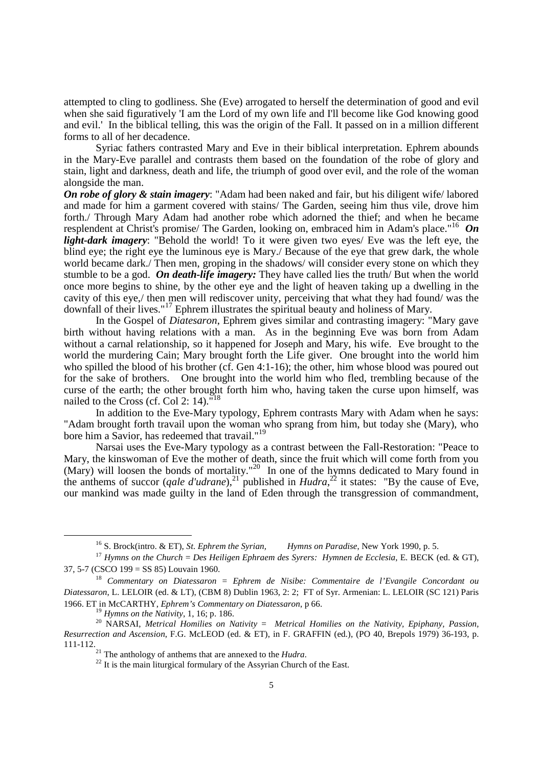attempted to cling to godliness. She (Eve) arrogated to herself the determination of good and evil when she said figuratively 'I am the Lord of my own life and I'll become like God knowing good and evil.' In the biblical telling, this was the origin of the Fall. It passed on in a million different forms to all of her decadence.

 Syriac fathers contrasted Mary and Eve in their biblical interpretation. Ephrem abounds in the Mary-Eve parallel and contrasts them based on the foundation of the robe of glory and stain, light and darkness, death and life, the triumph of good over evil, and the role of the woman alongside the man.

*On robe of glory & stain imagery*: "Adam had been naked and fair, but his diligent wife/ labored and made for him a garment covered with stains/ The Garden, seeing him thus vile, drove him forth./ Through Mary Adam had another robe which adorned the thief; and when he became resplendent at Christ's promise/ The Garden, looking on, embraced him in Adam's place."<sup>16</sup> *On light-dark imagery*: "Behold the world! To it were given two eyes/ Eve was the left eye, the blind eye; the right eye the luminous eye is Mary./ Because of the eye that grew dark, the whole world became dark./ Then men, groping in the shadows/ will consider every stone on which they stumble to be a god. *On death-life imagery:* They have called lies the truth/ But when the world once more begins to shine, by the other eye and the light of heaven taking up a dwelling in the cavity of this eye,/ then men will rediscover unity, perceiving that what they had found/ was the downfall of their lives."<sup>17</sup> Ephrem illustrates the spiritual beauty and holiness of Mary.

 In the Gospel of *Diatesaron*, Ephrem gives similar and contrasting imagery: "Mary gave birth without having relations with a man. As in the beginning Eve was born from Adam without a carnal relationship, so it happened for Joseph and Mary, his wife. Eve brought to the world the murdering Cain; Mary brought forth the Life giver. One brought into the world him who spilled the blood of his brother (cf. Gen 4:1-16); the other, him whose blood was poured out for the sake of brothers. One brought into the world him who fled, trembling because of the curse of the earth; the other brought forth him who, having taken the curse upon himself, was nailed to the Cross (cf. Col 2: 14).<sup>"18</sup>

 In addition to the Eve-Mary typology, Ephrem contrasts Mary with Adam when he says: "Adam brought forth travail upon the woman who sprang from him, but today she (Mary), who bore him a Savior, has redeemed that travail."<sup>19</sup>

 Narsai uses the Eve-Mary typology as a contrast between the Fall-Restoration: "Peace to Mary, the kinswoman of Eve the mother of death, since the fruit which will come forth from you (Mary) will loosen the bonds of mortality.<sup>"20</sup> In one of the hymns dedicated to Mary found in the anthems of succor (*qale d'udrane*),<sup>21</sup> published in *Hudra*,<sup>22</sup> it states: "By the cause of Eve, our mankind was made guilty in the land of Eden through the transgression of commandment,

 $^{9}$  *Hymns on the Nativity*, 1, 16; p. 186.

<sup>16</sup> S. Brock(intro. & ET), *St. Ephrem the Syrian, Hymns on Paradise*, New York 1990, p. 5.

<sup>17</sup> *Hymns on the Church* = *Des Heiligen Ephraem des Syrers: Hymnen de Ecclesia*, E. BECK (ed. & GT), 37, 5-7 (CSCO 199 = SS 85) Louvain 1960.

<sup>18</sup> *Commentary on Diatessaron* = *Ephrem de Nisibe: Commentaire de l'Evangile Concordant ou Diatessaron*, L. LELOIR (ed. & LT), (CBM 8) Dublin 1963, 2: 2; FT of Syr. Armenian: L. LELOIR (SC 121) Paris 1966. ET in McCARTHY, *Ephrem's Commentary on Diatessaron*, p 66.

<sup>20</sup> NARSAI, *Metrical Homilies on Nativity* = *Metrical Homilies on the Nativity, Epiphany, Passion, Resurrection and Ascension*, F.G. McLEOD (ed. & ET), in F. GRAFFIN (ed.), (PO 40, Brepols 1979) 36-193, p. 111-112.

<sup>21</sup> The anthology of anthems that are annexed to the *Hudra.* 

 $^{22}$  It is the main liturgical formulary of the Assyrian Church of the East.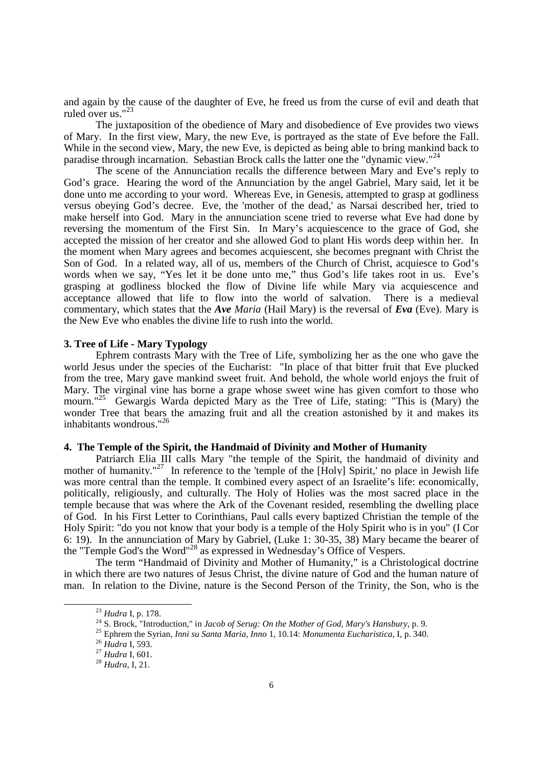and again by the cause of the daughter of Eve, he freed us from the curse of evil and death that ruled over us." $2$ 

 The juxtaposition of the obedience of Mary and disobedience of Eve provides two views of Mary. In the first view, Mary, the new Eve, is portrayed as the state of Eve before the Fall. While in the second view, Mary, the new Eve, is depicted as being able to bring mankind back to paradise through incarnation. Sebastian Brock calls the latter one the "dynamic view."<sup>24</sup>

The scene of the Annunciation recalls the difference between Mary and Eve's reply to God's grace. Hearing the word of the Annunciation by the angel Gabriel, Mary said, let it be done unto me according to your word. Whereas Eve, in Genesis, attempted to grasp at godliness versus obeying God's decree. Eve, the 'mother of the dead,' as Narsai described her, tried to make herself into God. Mary in the annunciation scene tried to reverse what Eve had done by reversing the momentum of the First Sin. In Mary's acquiescence to the grace of God, she accepted the mission of her creator and she allowed God to plant His words deep within her. In the moment when Mary agrees and becomes acquiescent, she becomes pregnant with Christ the Son of God. In a related way, all of us, members of the Church of Christ, acquiesce to God's words when we say, "Yes let it be done unto me," thus God's life takes root in us. Eve's grasping at godliness blocked the flow of Divine life while Mary via acquiescence and acceptance allowed that life to flow into the world of salvation. There is a medieval commentary, which states that the *Ave Maria* (Hail Mary) is the reversal of *Eva* (Eve). Mary is the New Eve who enables the divine life to rush into the world.

## **3. Tree of Life - Mary Typology**

Ephrem contrasts Mary with the Tree of Life, symbolizing her as the one who gave the world Jesus under the species of the Eucharist: "In place of that bitter fruit that Eve plucked from the tree, Mary gave mankind sweet fruit. And behold, the whole world enjoys the fruit of Mary. The virginal vine has borne a grape whose sweet wine has given comfort to those who mourn."<sup>25</sup> Gewargis Warda depicted Mary as the Tree of Life, stating: "This is (Mary) the wonder Tree that bears the amazing fruit and all the creation astonished by it and makes its inhabitants wondrous."<sup>26</sup>

## **4. The Temple of the Spirit, the Handmaid of Divinity and Mother of Humanity**

Patriarch Elia III calls Mary "the temple of the Spirit, the handmaid of divinity and mother of humanity."<sup>27</sup> In reference to the 'temple of the [Holy] Spirit,' no place in Jewish life was more central than the temple. It combined every aspect of an Israelite's life: economically, politically, religiously, and culturally. The Holy of Holies was the most sacred place in the temple because that was where the Ark of the Covenant resided, resembling the dwelling place of God. In his First Letter to Corinthians, Paul calls every baptized Christian the temple of the Holy Spirit: "do you not know that your body is a temple of the Holy Spirit who is in you" (I Cor 6: 19). In the annunciation of Mary by Gabriel, (Luke 1: 30-35, 38) Mary became the bearer of the "Temple God's the Word"<sup>28</sup> as expressed in Wednesday's Office of Vespers.

 The term "Handmaid of Divinity and Mother of Humanity," is a Christological doctrine in which there are two natures of Jesus Christ, the divine nature of God and the human nature of man. In relation to the Divine, nature is the Second Person of the Trinity, the Son, who is the

 $\overline{a}$ 

<sup>23</sup> *Hudra* I*,* p. 178.

<sup>24</sup> S. Brock, "Introduction," in *Jacob of Serug: On the Mother of God, Mary's Hansbury*, p. 9.

<sup>25</sup> Ephrem the Syrian, *Inni su Santa Maria*, *Inno* 1, 10.14: *Monumenta Eucharistica*, I, p. 340.

<sup>26</sup> *Hudra* I, 593.

<sup>27</sup> *Hudra* I, 601.

<sup>28</sup> *Hudra*, I, 21.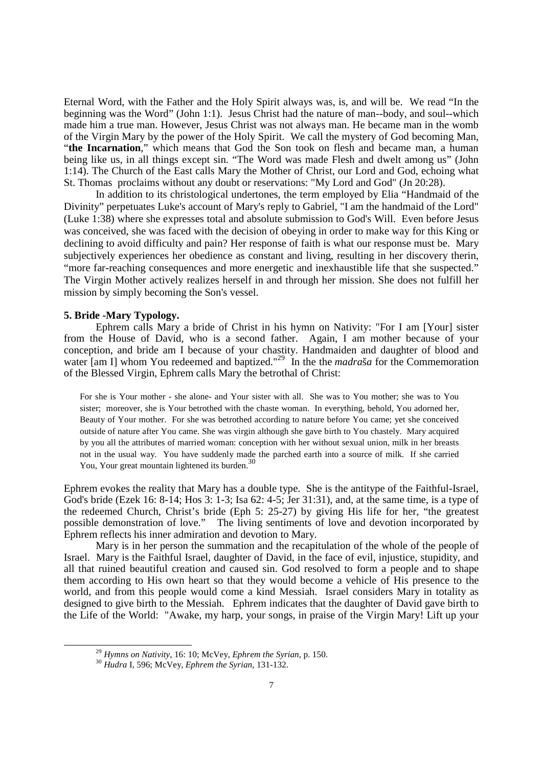Eternal Word, with the Father and the Holy Spirit always was, is, and will be. We read "In the beginning was the Word" (John 1:1). Jesus Christ had the nature of man--body, and soul--which made him a true man. However, Jesus Christ was not always man. He became man in the womb of the Virgin Mary by the power of the Holy Spirit. We call the mystery of God becoming Man, "the Incarnation," which means that God the Son took on flesh and became man, a human being like us, in all things except sin. "The Word was made Flesh and dwelt among us" (John 1:14). The Church of the East calls Mary the Mother of Christ, our Lord and God, echoing what St. Thomas proclaims without any doubt or reservations: "My Lord and God" (Jn 20:28).

 In addition to its christological undertones, the term employed by Elia "Handmaid of the Divinity" perpetuates Luke's account of Mary's reply to Gabriel, "I am the handmaid of the Lord" (Luke 1:38) where she expresses total and absolute submission to God's Will. Even before Jesus was conceived, she was faced with the decision of obeying in order to make way for this King or declining to avoid difficulty and pain? Her response of faith is what our response must be. Mary subjectively experiences her obedience as constant and living, resulting in her discovery therin, "more far-reaching consequences and more energetic and inexhaustible life that she suspected." The Virgin Mother actively realizes herself in and through her mission. She does not fulfill her mission by simply becoming the Son's vessel.

## **5. Bride -Mary Typology.**

-

 Ephrem calls Mary a bride of Christ in his hymn on Nativity: "For I am [Your] sister from the House of David, who is a second father. Again, I am mother because of your conception, and bride am I because of your chastity. Handmaiden and daughter of blood and water [am I] whom You redeemed and baptized."<sup>29</sup> In the the *madra*ša for the Commemoration of the Blessed Virgin, Ephrem calls Mary the betrothal of Christ:

For she is Your mother - she alone- and Your sister with all. She was to You mother; she was to You sister; moreover, she is Your betrothed with the chaste woman. In everything, behold, You adorned her, Beauty of Your mother. For she was betrothed according to nature before You came; yet she conceived outside of nature after You came. She was virgin although she gave birth to You chastely. Mary acquired by you all the attributes of married woman: conception with her without sexual union, milk in her breasts not in the usual way. You have suddenly made the parched earth into a source of milk. If she carried You, Your great mountain lightened its burden.<sup>30</sup>

Ephrem evokes the reality that Mary has a double type. She is the antitype of the Faithful-Israel, God's bride (Ezek 16: 8-14; Hos 3: 1-3; Isa 62: 4-5; Jer 31:31), and, at the same time, is a type of the redeemed Church, Christ's bride (Eph 5: 25-27) by giving His life for her, "the greatest possible demonstration of love." The living sentiments of love and devotion incorporated by Ephrem reflects his inner admiration and devotion to Mary.

 Mary is in her person the summation and the recapitulation of the whole of the people of Israel. Mary is the Faithful Israel, daughter of David, in the face of evil, injustice, stupidity, and all that ruined beautiful creation and caused sin. God resolved to form a people and to shape them according to His own heart so that they would become a vehicle of His presence to the world, and from this people would come a kind Messiah. Israel considers Mary in totality as designed to give birth to the Messiah. Ephrem indicates that the daughter of David gave birth to the Life of the World: "Awake, my harp, your songs, in praise of the Virgin Mary! Lift up your

<sup>29</sup> *Hymns on Nativity*, 16: 10; McVey, *Ephrem the Syrian*, p. 150.

<sup>30</sup> *Hudra* I, 596; McVey, *Ephrem the Syrian*, 131-132.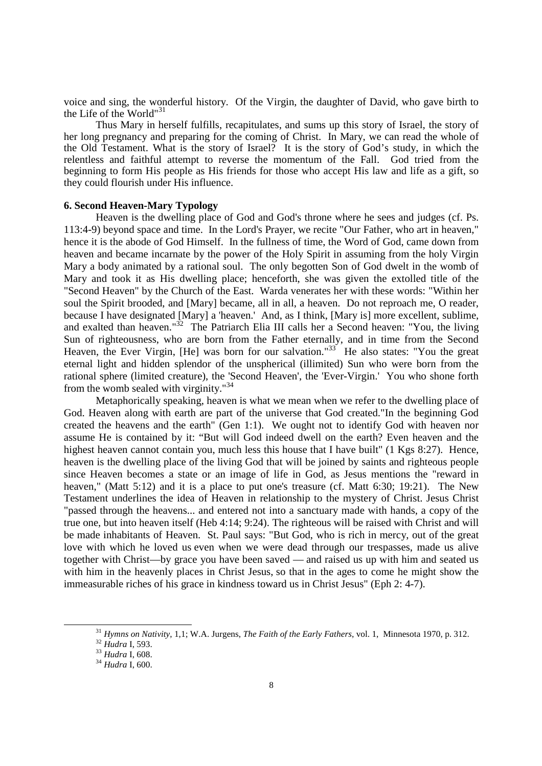voice and sing, the wonderful history. Of the Virgin, the daughter of David, who gave birth to the Life of the World"<sup>3</sup>

 Thus Mary in herself fulfills, recapitulates, and sums up this story of Israel, the story of her long pregnancy and preparing for the coming of Christ. In Mary, we can read the whole of the Old Testament. What is the story of Israel? It is the story of God's study, in which the relentless and faithful attempt to reverse the momentum of the Fall. God tried from the beginning to form His people as His friends for those who accept His law and life as a gift, so they could flourish under His influence.

## **6. Second Heaven-Mary Typology**

Heaven is the dwelling place of God and God's throne where he sees and judges (cf. Ps. 113:4-9) beyond space and time. In the Lord's Prayer, we recite "Our Father, who art in heaven," hence it is the abode of God Himself. In the fullness of time, the Word of God, came down from heaven and became incarnate by the power of the Holy Spirit in assuming from the holy Virgin Mary a body animated by a rational soul. The only begotten Son of God dwelt in the womb of Mary and took it as His dwelling place; henceforth, she was given the extolled title of the "Second Heaven" by the Church of the East. Warda venerates her with these words: "Within her soul the Spirit brooded, and [Mary] became, all in all, a heaven. Do not reproach me, O reader, because I have designated [Mary] a 'heaven.' And, as I think, [Mary is] more excellent, sublime, and exalted than heaven."<sup>32</sup> The Patriarch Elia III calls her a Second heaven: "You, the living Sun of righteousness, who are born from the Father eternally, and in time from the Second Heaven, the Ever Virgin, [He] was born for our salvation."<sup>33</sup> He also states: "You the great eternal light and hidden splendor of the unspherical (illimited) Sun who were born from the rational sphere (limited creature), the 'Second Heaven', the 'Ever-Virgin.' You who shone forth from the womb sealed with virginity."<sup>34</sup>

 Metaphorically speaking, heaven is what we mean when we refer to the dwelling place of God. Heaven along with earth are part of the universe that God created."In the beginning God created the heavens and the earth" (Gen 1:1). We ought not to identify God with heaven nor assume He is contained by it: "But will God indeed dwell on the earth? Even heaven and the highest heaven cannot contain you, much less this house that I have built" (1 Kgs 8:27). Hence, heaven is the dwelling place of the living God that will be joined by saints and righteous people since Heaven becomes a state or an image of life in God, as Jesus mentions the "reward in heaven," (Matt 5:12) and it is a place to put one's treasure (cf. Matt 6:30; 19:21). The New Testament underlines the idea of Heaven in relationship to the mystery of Christ. Jesus Christ "passed through the heavens... and entered not into a sanctuary made with hands, a copy of the true one, but into heaven itself (Heb 4:14; 9:24). The righteous will be raised with Christ and will be made inhabitants of Heaven. St. Paul says: "But God, who is rich in mercy, out of the great love with which he loved us even when we were dead through our trespasses, made us alive together with Christ—by grace you have been saved — and raised us up with him and seated us with him in the heavenly places in Christ Jesus, so that in the ages to come he might show the immeasurable riches of his grace in kindness toward us in Christ Jesus" (Eph 2: 4-7).

<sup>31</sup> *Hymns on Nativity*, 1,1; W.A. Jurgens, *The Faith of the Early Fathers*, vol. 1, Minnesota 1970, p. 312.

<sup>32</sup> *Hudra* I, 593.

<sup>33</sup> *Hudra* I, 608.

<sup>34</sup> *Hudra* I, 600.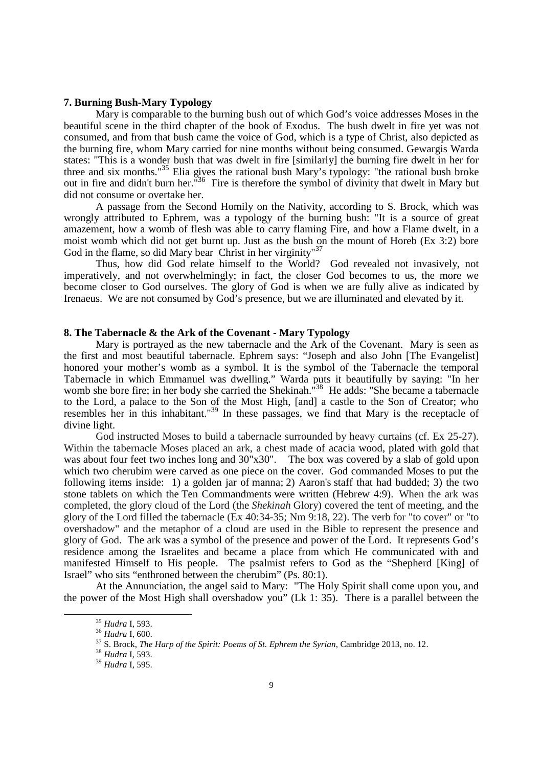# **7. Burning Bush-Mary Typology**

Mary is comparable to the burning bush out of which God's voice addresses Moses in the beautiful scene in the third chapter of the book of Exodus. The bush dwelt in fire yet was not consumed, and from that bush came the voice of God, which is a type of Christ, also depicted as the burning fire, whom Mary carried for nine months without being consumed. Gewargis Warda states: "This is a wonder bush that was dwelt in fire [similarly] the burning fire dwelt in her for three and six months."<sup>35</sup> Elia gives the rational bush Mary's typology: "the rational bush broke out in fire and didn't burn her.<sup>"36</sup> Fire is therefore the symbol of divinity that dwelt in Mary but did not consume or overtake her.

 A passage from the Second Homily on the Nativity, according to S. Brock, which was wrongly attributed to Ephrem, was a typology of the burning bush: "It is a source of great amazement, how a womb of flesh was able to carry flaming Fire, and how a Flame dwelt, in a moist womb which did not get burnt up. Just as the bush on the mount of Horeb (Ex 3:2) bore God in the flame, so did Mary bear Christ in her virginity" $37$ 

 Thus, how did God relate himself to the World? God revealed not invasively, not imperatively, and not overwhelmingly; in fact, the closer God becomes to us, the more we become closer to God ourselves. The glory of God is when we are fully alive as indicated by Irenaeus. We are not consumed by God's presence, but we are illuminated and elevated by it.

## **8. The Tabernacle & the Ark of the Covenant - Mary Typology**

Mary is portrayed as the new tabernacle and the Ark of the Covenant. Mary is seen as the first and most beautiful tabernacle. Ephrem says: "Joseph and also John [The Evangelist] honored your mother's womb as a symbol. It is the symbol of the Tabernacle the temporal Tabernacle in which Emmanuel was dwelling." Warda puts it beautifully by saying: "In her womb she bore fire; in her body she carried the Shekinah."<sup>38</sup> He adds: "She became a tabernacle to the Lord, a palace to the Son of the Most High, [and] a castle to the Son of Creator; who resembles her in this inhabitant."<sup>39</sup> In these passages, we find that Mary is the receptacle of divine light.

God instructed Moses to build a tabernacle surrounded by heavy curtains (cf. Ex 25-27). Within the tabernacle Moses placed an ark, a chest made of acacia wood, plated with gold that was about four feet two inches long and 30"x30". The box was covered by a slab of gold upon which two cherubim were carved as one piece on the cover. God commanded Moses to put the following items inside: 1) a golden jar of manna; 2) Aaron's staff that had budded; 3) the two stone tablets on which the Ten Commandments were written (Hebrew 4:9). When the ark was completed, the glory cloud of the Lord (the *Shekinah* Glory) covered the tent of meeting, and the glory of the Lord filled the tabernacle (Ex 40:34-35; Nm 9:18, 22). The verb for "to cover" or "to overshadow" and the metaphor of a cloud are used in the Bible to represent the presence and glory of God. The ark was a symbol of the presence and power of the Lord. It represents God's residence among the Israelites and became a place from which He communicated with and manifested Himself to His people. The psalmist refers to God as the "Shepherd [King] of Israel" who sits "enthroned between the cherubim" (Ps. 80:1).

 At the Annunciation, the angel said to Mary: "The Holy Spirit shall come upon you, and the power of the Most High shall overshadow you" (Lk 1: 35). There is a parallel between the

<sup>35</sup> *Hudra* I, 593.

<sup>36</sup> *Hudra* I, 600.

<sup>37</sup> S. Brock, *The Harp of the Spirit: Poems of St. Ephrem the Syrian*, Cambridge 2013, no. 12.

<sup>38</sup> *Hudra* I, 593.

<sup>39</sup> *Hudra* I, 595.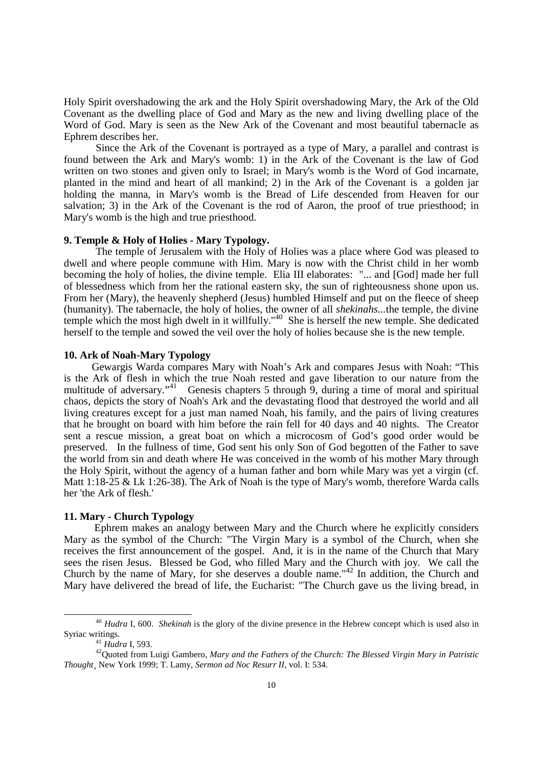Holy Spirit overshadowing the ark and the Holy Spirit overshadowing Mary, the Ark of the Old Covenant as the dwelling place of God and Mary as the new and living dwelling place of the Word of God. Mary is seen as the New Ark of the Covenant and most beautiful tabernacle as Ephrem describes her.

 Since the Ark of the Covenant is portrayed as a type of Mary, a parallel and contrast is found between the Ark and Mary's womb: 1) in the Ark of the Covenant is the law of God written on two stones and given only to Israel; in Mary's womb is the Word of God incarnate, planted in the mind and heart of all mankind; 2) in the Ark of the Covenant is a golden jar holding the manna, in Mary's womb is the Bread of Life descended from Heaven for our salvation; 3) in the Ark of the Covenant is the rod of Aaron, the proof of true priesthood; in Mary's womb is the high and true priesthood.

#### **9. Temple & Holy of Holies - Mary Typology.**

 The temple of Jerusalem with the Holy of Holies was a place where God was pleased to dwell and where people commune with Him. Mary is now with the Christ child in her womb becoming the holy of holies, the divine temple. Elia III elaborates: "... and [God] made her full of blessedness which from her the rational eastern sky, the sun of righteousness shone upon us. From her (Mary), the heavenly shepherd (Jesus) humbled Himself and put on the fleece of sheep (humanity). The tabernacle, the holy of holies, the owner of all *shekinahs...*the temple, the divine temple which the most high dwelt in it willfully."<sup>40</sup> She is herself the new temple. She dedicated herself to the temple and sowed the veil over the holy of holies because she is the new temple.

## **10. Ark of Noah-Mary Typology**

Gewargis Warda compares Mary with Noah's Ark and compares Jesus with Noah: "This is the Ark of flesh in which the true Noah rested and gave liberation to our nature from the multitude of adversary."<sup>41</sup> Genesis chapters 5 through  $\overline{9}$ , during a time of moral and spiritual chaos, depicts the story of Noah's Ark and the devastating flood that destroyed the world and all living creatures except for a just man named Noah, his family, and the pairs of living creatures that he brought on board with him before the rain fell for 40 days and 40 nights. The Creator sent a rescue mission, a great boat on which a microcosm of God's good order would be preserved. In the fullness of time, God sent his only Son of God begotten of the Father to save the world from sin and death where He was conceived in the womb of his mother Mary through the Holy Spirit, without the agency of a human father and born while Mary was yet a virgin (cf. Matt 1:18-25 & Lk 1:26-38). The Ark of Noah is the type of Mary's womb, therefore Warda calls her 'the Ark of flesh.'

# **11. Mary - Church Typology**

Ephrem makes an analogy between Mary and the Church where he explicitly considers Mary as the symbol of the Church: "The Virgin Mary is a symbol of the Church, when she receives the first announcement of the gospel. And, it is in the name of the Church that Mary sees the risen Jesus. Blessed be God, who filled Mary and the Church with joy. We call the Church by the name of Mary, for she deserves a double name."<sup>42</sup> In addition, the Church and Mary have delivered the bread of life, the Eucharist: "The Church gave us the living bread, in

<sup>40</sup> *Hudra* I, 600. *Shekinah* is the glory of the divine presence in the Hebrew concept which is used also in Syriac writings.

<sup>41</sup> *Hudra* I, 593.

<sup>42</sup>Quoted from Luigi Gambero, *Mary and the Fathers of the Church: The Blessed Virgin Mary in Patristic Thought¸* New York 1999; T. Lamy, *Sermon ad Noc Resurr II,* vol. I: 534.